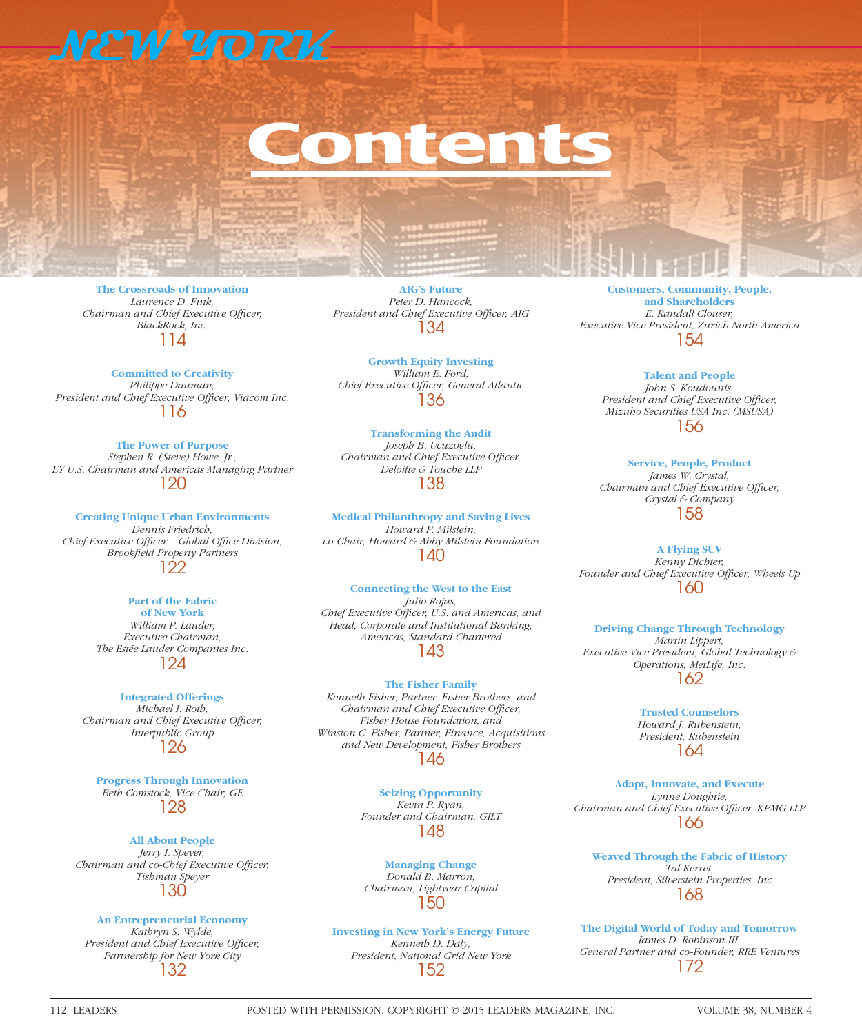# **NEW YORK**

# ontent

**The Crossroads of Innovation** *Laurence D. Fink, Chairman and Chief Executive Officer, BlackRock, Inc.* 114

**Committed to Creativity** *Philippe Dauman,*  President and Chief Executive Officer, Viacom Inc. 116

**The Power of Purpose** *Stephen R. (Steve) Howe, Jr., EY U.S. Chairman and Americas Managing Partner* 120

**Creating Unique Urban Environments** *Dennis Friedrich,*  Chief Executive Officer - Global Office Division, *Brookfi eld Property Partners* 122

### **Part of the Fabric**

**of New York** *William P. Lauder, Executive Chairman, The Estée Lauder Companies Inc.* 124

#### **Integrated Offerings**

*Michael I. Roth, Chairman and Chief Executive Officer, Interpublic Group* 126

**Progress Through Innovation** *Beth Comstock, Vice Chair, GE* 128

**All About People** *Jerry I. Speyer, Chairman and co-Chief Executive Officer, Tishman Speyer* 130

#### **An Entrepreneurial Economy**

*Kathryn S. Wylde, President and Chief Executive Officer, Partnership for New York City* 132

**AIG's Future** *Peter D. Hancock,*  President and Chief Executive Officer, AIG 134

**Growth Equity Investing** *William E. Ford,*  **Chief Executive Officer, General Atlantic** 136

**Transforming the Audit** *Joseph B. Ucuzoglu, Chairman and Chief Executive Officer, Deloitte & Touche LLP* 138

**Medical Philanthropy and Saving Lives** *Howard P. Milstein, co-Chair, Howard & Abby Milstein Foundation* 140

**Connecting the West to the East** *Julio Rojas,*  Chief Executive Officer, U.S. and Americas, and *Head, Corporate and Institutional Banking, Americas, Standard Chartered* 143

## **The Fisher Family**

*Kenneth Fisher, Partner, Fisher Brothers, and Chairman and Chief Executive Officer, Fisher House Foundation, and Winston C. Fisher, Partner, Finance, Acquisitions and New Development, Fisher Brothers* 146

> **Seizing Opportunity** *Kevin P. Ryan, Founder and Chairman, GILT* 148

**Managing Change** *Donald B. Marron, Chairman, Lightyear Capital* 150

**Investing in New York's Energy Future** *Kenneth D. Daly, President, National Grid New York* 152

**Customers, Community, People, and Shareholders** *E. Randall Clouser, Executive Vice President, Zurich North America* 154

**Talent and People** *John S. Koudounis,*  **President and Chief Executive Officer,** *Mizuho Securities USA Inc. (MSUSA)* 156

**Service, People, Product** *James W. Crystal, Chairman and Chief Executive Officer, Crystal & Company* 158

**A Flying SUV** *Kenny Dichter,*  Founder and Chief Executive Officer, Wheels Up 160

**Driving Change Through Technology** *Martin Lippert, Executive Vice President, Global Technology & Operations, MetLife, Inc.* 162

> **Trusted Counselors** *Howard J. Rubenstein, President, Rubenstein* 164

**Adapt, Innovate, and Execute** *Lynne Doughtie,*  Chairman and Chief Executive Officer, KPMG LLP 166

**Weaved Through the Fabric of History** *Tal Kerret, President, Silverstein Properties, Inc* 168

**The Digital World of Today and Tomorrow** *James D. Robinson III, General Partner and co-Founder, RRE Ventures* 172